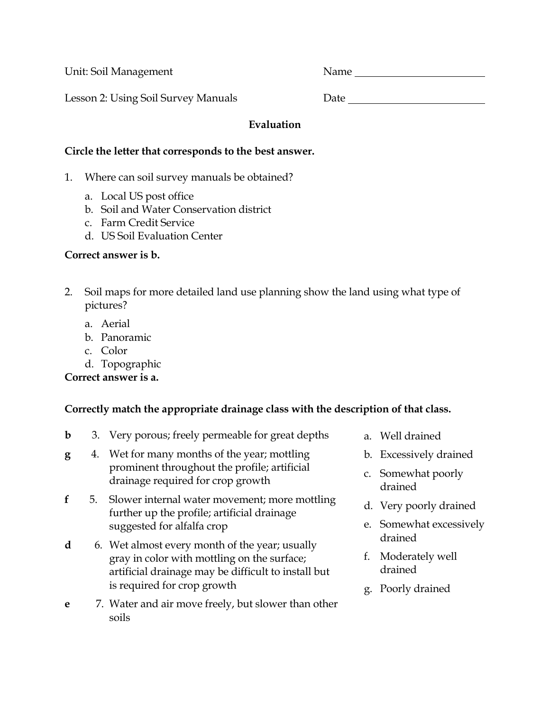Unit: Soil Management Name

Lesson 2: Using Soil Survey Manuals

### **Evaluation**

#### **Circle the letter that corresponds to the best answer.**

- 1. Where can soil survey manuals be obtained?
	- a. Local US post office
	- b. Soil and Water Conservation district
	- c. Farm Credit Service
	- d. US Soil Evaluation Center

# **Correct answer is b.**

- 2. Soil maps for more detailed land use planning show the land using what type of pictures?
	- a. Aerial
	- b. Panoramic
	- c. Color
	- d. Topographic

# **Correct answer is a.**

# **Correctly match the appropriate drainage class with the description of that class.**

- **b** 3. Very porous; freely permeable for great depths
- **g** 4. Wet for many months of the year; mottling prominent throughout the profile; artificial drainage required for crop growth
- **f** 5. Slower internal water movement; more mottling further up the profile; artificial drainage suggested for alfalfa crop
- **d** 6. Wet almost every month of the year; usually gray in color with mottling on the surface; artificial drainage may be difficult to install but is required for crop growth
- **e** 7. Water and air move freely, but slower than other soils
- a. Well drained
- b. Excessively drained
- c. Somewhat poorly drained
- d. Very poorly drained
- e. Somewhat excessively drained
- f. Moderately well drained
- g. Poorly drained